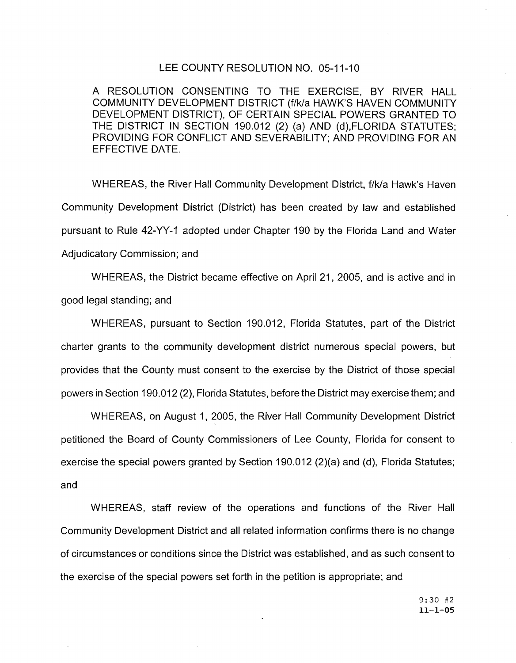#### LEE COUNTY RESOLUTION NO. 05-11-10

A RESOLUTION CONSENTING TO THE EXERCISE, BY RIVER HALL COMMUNITY DEVELOPMENT DISTRICT (f/k/a HAWK'S HAVEN COMMUNITY DEVELOPMENT DISTRICT), OF CERTAIN SPECIAL POWERS GRANTED TO THE DISTRICT IN SECTION 190.012 (2) (a) AND (d),FLORIDA STATUTES; PROVIDING FOR CONFLICT AND SEVERABILITY; AND PROVIDING FOR AN EFFECTIVE DATE.

WHEREAS, the River Hall Community Development District, f/k/a Hawk's Haven Community Development District (District) has been created by law and established pursuant to Rule 42-YY-1 adopted under Chapter 190 by the Florida Land and Water Adjudicatory Commission; and

WHEREAS, the District became effective on April 21, 2005, and is active and in good legal standing; and

WHEREAS, pursuant to Section 190.012, Florida Statutes, part of the District charter grants to the community development district numerous special powers, but provides that the County must consent to the exercise by the District of those special powers in Section 190.012 (2), Florida Statutes, before the District may exercise them; and

WHEREAS, on August 1, 2005, the River Hall Community Development District petitioned the Board of County Commissioners of Lee County, Florida for consent to exercise the special powers granted by Section 190.012 (2)(a) and (d), Florida Statutes; and

WHEREAS, staff review of the operations and functions of the River Hall Community Development District and all related information confirms there is no change of circumstances or conditions since the District was established, and as such consent to the exercise of the special powers set forth in the petition is appropriate; and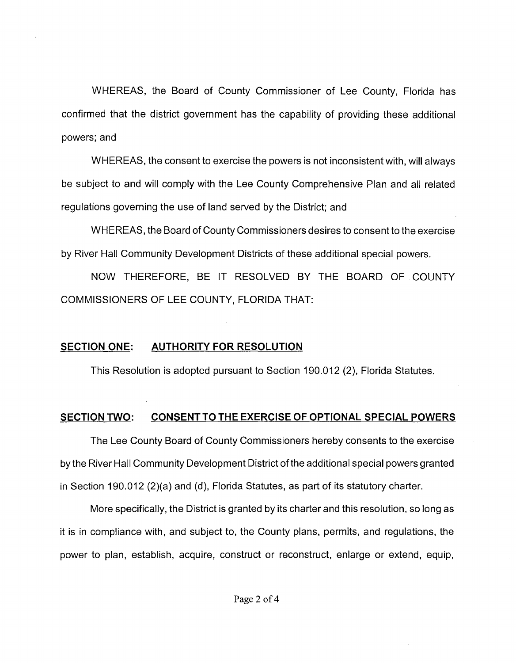WHEREAS, the Board of County Commissioner of Lee County, Florida has confirmed that the district government has the capability of providing these additional powers; and

WHEREAS, the consent to exercise the powers is not inconsistent with, will always be subject to and will comply with the Lee County Comprehensive Plan and all related regulations governing the use of land served by the District; and

WHEREAS, the Board of County Commissioners desires to consent to the exercise by River Hall Community Development Districts of these additional special powers.

NOW THEREFORE, BE IT RESOLVED BY THE BOARD OF COUNTY COMMISSIONERS OF LEE COUNTY, FLORIDA THAT:

## **SECTION ONE: AUTHORITY FOR RESOLUTION**

This Resolution is adopted pursuant to Section 190.012 (2), Florida Statutes.

# **SECTION TWO: CONSENT TO THE EXERCISE OF OPTIONAL SPECIAL POWERS**

The Lee County Board of County Commissioners hereby consents to the exercise by the River Hall Community Development District of the additional special powers granted in Section 190.012 (2)(a) and (d), Florida Statutes, as part of its statutory charter.

More specifically, the District is granted by its charter and this resolution, so long as it is in compliance with, and subject to, the County plans, permits, and regulations, the power to plan, establish, acquire, construct or reconstruct, enlarge or extend, equip,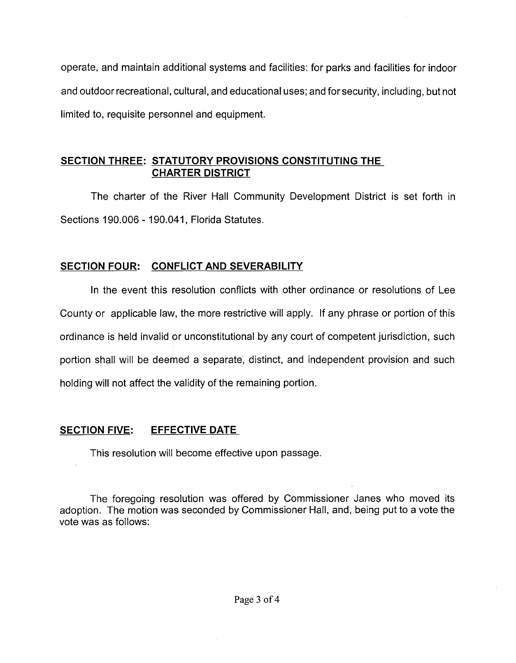operate, and maintain additional systems and facilities: for parks and facilities for indoor and outdoor recreational, cultural, and educational uses; and for security, including, but not limited to, requisite personnel and equipment.

### **SECTION THREE: STATUTORY PROVISIONS CONSTITUTING THE CHARTER DISTRICT**

The charter of the River Hall Community Development District is set forth in Sections 190.006 - 190.041, Florida Statutes.

## **SECTION FOUR: CONFLICT AND SEVERABILITY**

In the event this resolution conflicts with other ordinance or resolutions of Lee County or applicable law, the more restrictive will apply. If any phrase or portion of this ordinance is held invalid or unconstitutional by any court of competent jurisdiction, such portion shall will be deemed a separate, distinct, and independent provision and such holding will not affect the validity of the remaining portion.

# **SECTION FIVE: EFFECTIVE DATE**

This resolution will become effective upon passage.

The foregoing resolution was offered by Commissioner Janes who moved its adoption. The motion was seconded by Commissioner Hall, and, being put to a vote the vote was as follows: